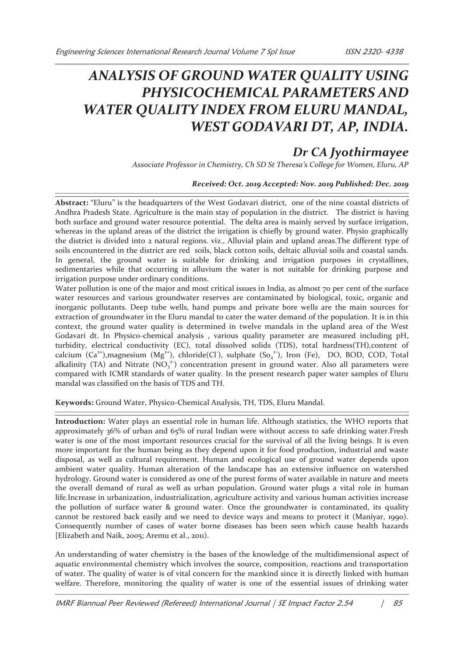# *ANALYSIS OF GROUND WATER QUALITY USING PHYSICOCHEMICAL PARAMETERS AND WATER QUALITY INDEX FROM ELURU MANDAL, WEST GODAVARI DT, AP, INDIA.*

# *Dr CA Jyothirmayee*

*Associate Professor in Chemistry, Ch SD St Theresa's College for Women, Eluru, AP*

# *Received: Oct. 2019 Accepted: Nov. 2019 Published: Dec. 2019*

**Abstract:** "Eluru" is the headquarters of the West Godavari district, one of the nine coastal districts of Andhra Pradesh State. Agriculture is the main stay of population in the district. The district is having both surface and ground water resource potential. The delta area is mainly served by surface irrigation, whereas in the upland areas of the district the irrigation is chiefly by ground water. Physio graphically the district is divided into 2 natural regions. viz., Alluvial plain and upland areas.The different type of soils encountered in the district are red soils, black cotton soils, deltaic alluvial soils and coastal sands. In general, the ground water is suitable for drinking and irrigation purposes in crystallines, sedimentaries while that occurring in alluvium the water is not suitable for drinking purpose and irrigation purpose under ordinary conditions.

Water pollution is one of the major and most critical issues in India, as almost 70 per cent of the surface water resources and various groundwater reserves are contaminated by biological, toxic, organic and inorganic pollutants. Deep tube wells, hand pumps and private bore wells are the main sources for extraction of groundwater in the Eluru mandal to cater the water demand of the population. It is in this context, the ground water quality is determined in twelve mandals in the upland area of the West Godavari dt. In Physico-chemical analysis , various quality parameter are measured including pH, turbidity, electrical conductivity (EC), total dissolved solids (TDS), total hardness(TH),content of calcium  $(Ca^{2+})$ ,magnesium  $(Mg^{2+})$ , chloride(Cl ), sulphate  $(So_4^2)$ , Iron (Fe), DO, BOD, COD, Total alkalinity (TA) and Nitrate ( $NO<sub>3</sub><sup>2</sup>$ ) concentration present in ground water. Also all parameters were compared with ICMR standards of water quality. In the present research paper water samples of Eluru mandal was classified on the basis of TDS and TH.

**Keywords:** Ground Water, Physico-Chemical Analysis, TH, TDS, Eluru Mandal.

**Introduction:** Water plays an essential role in human life. Although statistics, the WHO reports that approximately 36% of urban and 65% of rural Indian were without access to safe drinking water.Fresh water is one of the most important resources crucial for the survival of all the living beings. It is even more important for the human being as they depend upon it for food production, industrial and waste disposal, as well as cultural requirement. Human and ecological use of ground water depends upon ambient water quality. Human alteration of the landscape has an extensive influence on watershed hydrology. Ground water is considered as one of the purest forms of water available in nature and meets the overall demand of rural as well as urban population. Ground water plugs a vital role in human life.Increase in urbanization, industrialization, agriculture activity and various human activities increase the pollution of surface water & ground water. Once the groundwater is contaminated, its quality cannot be restored back easily and we need to device ways and means to protect it (Maniyar, 1990). Consequently number of cases of water borne diseases has been seen which cause health hazards [Elizabeth and Naik, 2005; Aremu et al., 2011).

An understanding of water chemistry is the bases of the knowledge of the multidimensional aspect of aquatic environmental chemistry which involves the source, composition, reactions and transportation of water. The quality of water is of vital concern for the mankind since it is directly linked with human welfare. Therefore, monitoring the quality of water is one of the essential issues of drinking water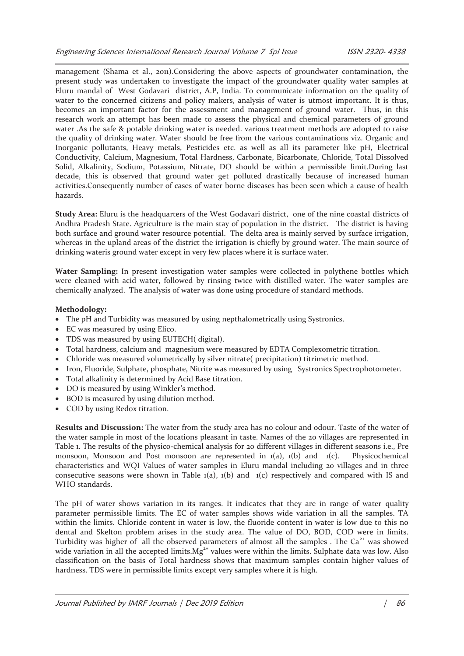management (Shama et al., 2011).Considering the above aspects of groundwater contamination, the present study was undertaken to investigate the impact of the groundwater quality water samples at Eluru mandal of West Godavari district, A.P, India. To communicate information on the quality of water to the concerned citizens and policy makers, analysis of water is utmost important. It is thus, becomes an important factor for the assessment and management of ground water. Thus, in this research work an attempt has been made to assess the physical and chemical parameters of ground water .As the safe & potable drinking water is needed. various treatment methods are adopted to raise the quality of drinking water. Water should be free from the various contaminations viz. Organic and Inorganic pollutants, Heavy metals, Pesticides etc. as well as all its parameter like pH, Electrical Conductivity, Calcium, Magnesium, Total Hardness, Carbonate, Bicarbonate, Chloride, Total Dissolved Solid, Alkalinity, Sodium, Potassium, Nitrate, DO should be within a permissible limit.During last decade, this is observed that ground water get polluted drastically because of increased human activities.Consequently number of cases of water borne diseases has been seen which a cause of health hazards.

**Study Area:** Eluru is the headquarters of the West Godavari district, one of the nine coastal districts of Andhra Pradesh State. Agriculture is the main stay of population in the district. The district is having both surface and ground water resource potential. The delta area is mainly served by surface irrigation, whereas in the upland areas of the district the irrigation is chiefly by ground water. The main source of drinking wateris ground water except in very few places where it is surface water.

**Water Sampling:** In present investigation water samples were collected in polythene bottles which were cleaned with acid water, followed by rinsing twice with distilled water. The water samples are chemically analyzed. The analysis of water was done using procedure of standard methods.

#### **Methodology:**

- · The pH and Turbidity was measured by using nepthalometrically using Systronics.
- · EC was measured by using Elico.
- · TDS was measured by using EUTECH( digital).
- · Total hardness, calcium and magnesium were measured by EDTA Complexometric titration.
- · Chloride was measured volumetrically by silver nitrate( precipitation) titrimetric method.
- Iron, Fluoride, Sulphate, phosphate, Nitrite was measured by using Systronics Spectrophotometer.
- · Total alkalinity is determined by Acid Base titration.
- · DO is measured by using Winkler's method.
- · BOD is measured by using dilution method.
- COD by using Redox titration.

**Results and Discussion:** The water from the study area has no colour and odour. Taste of the water of the water sample in most of the locations pleasant in taste. Names of the 20 villages are represented in Table 1. The results of the physico-chemical analysis for 20 different villages in different seasons i.e., Pre monsoon, Monsoon and Post monsoon are represented in  $1(a)$ ,  $1(b)$  and  $1(c)$ . Physicochemical characteristics and WQI Values of water samples in Eluru mandal including 20 villages and in three consecutive seasons were shown in Table  $1(a)$ ,  $1(b)$  and  $1(c)$  respectively and compared with IS and WHO standards.

The pH of water shows variation in its ranges. It indicates that they are in range of water quality parameter permissible limits. The EC of water samples shows wide variation in all the samples. TA within the limits. Chloride content in water is low, the fluoride content in water is low due to this no dental and Skelton problem arises in the study area. The value of DO, BOD, COD were in limits. Turbidity was higher of all the observed parameters of almost all the samples . The  $Ca<sup>2+</sup>$  was showed wide variation in all the accepted limits. $Mg^{2+}$  values were within the limits. Sulphate data was low. Also classification on the basis of Total hardness shows that maximum samples contain higher values of hardness. TDS were in permissible limits except very samples where it is high.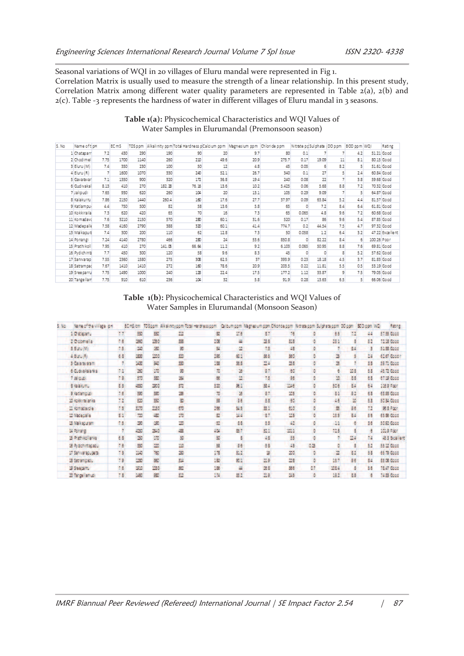Seasonal variations of WQI in 20 villages of Eluru mandal were represented in Fig 1.

Correlation Matrix is usually used to measure the strength of a linear relationship. In this present study, Correlation Matrix among different water quality parameters are represented in Table 2(a), 2(b) and  $2(c)$ . Table -3 represents the hardness of water in different villages of Eluru mandal in 3 seasons.

### **Table 1(a):** Physicochemical Characteristics and WQI Values of Water Samples in Elurumandal (Premonsoon season)

| 5. No | Name of t <sup>i</sup> pH |      | EC m5 | TDS p pm |        | Alkalinity ppm Total Hardness pCalcium ppm |      | Magnesium ppm | Chloride ppm | Nitrate pp Sulphate |       | DO ppm | BOD ppm WQI |             | <b>Kating</b>   |
|-------|---------------------------|------|-------|----------|--------|--------------------------------------------|------|---------------|--------------|---------------------|-------|--------|-------------|-------------|-----------------|
|       | 1 Chataparr               | 7.2  | 430   | 290      | 190    | 90                                         | 20   | 9.7           | 80           | 0.1                 |       |        | 4.2         |             | 51.21 Good      |
|       | 2 Chodimel                | 7.75 | 1700  | 1140     | 250    | 210                                        | 49.6 | 20.9          | 275.7        | 0.17                | 19.09 | 11     | 8.1         |             | 80.15 Good      |
|       | 3 Eluru (M)               | 7.4  | 350   | 230      | 100    | 50                                         | 12   | 4.8           | 45           | 0.05                | 6     | 8.2    | 5           |             | 51.61 Good      |
|       | $4$ Eluru (R)             |      | 1600  | 1070     | 330    | 240                                        | 52.1 | 26.7          | 340          | 0.1                 | 27    | 5      | 2.4         |             | 60.84 Good      |
|       | 5 Gavaravar               | 7.1  | 1350  | 900      | 320    | 172                                        | 36.8 | 19.4          | 240          | 0.08                | ZZ    |        | 3.8         |             | 59.68 Good      |
|       | 6 Gud Ivakal              | 8.13 | 410   | 270      | 182.28 | 76.15                                      | 13.6 | 10.2          | 5.425        | 0.05                | 5.68  | 8.8    | 7.2         |             | 70.32 Good      |
|       | 7 Jalipudi                | 7.65 | 930   | 620      | 250    | 104                                        | 20   | 13.1          | 105          | 0.29                | 9.09  |        | 5           |             | 64.87 Good      |
|       | 8 Kalakurnu               | 7.85 | 2150  | 1440     | 260.4  | 160                                        | 17.6 | 27.7          | 37.97        | 0.09                | 63.84 | 5.2    | 4.4         |             | 81.57 Good      |
|       | 9 Katlampur               | 4.4  | 750   | 500      | 82     | 58                                         | 13.6 | 5.8           | 65           | o                   | 72    | 8.4    | 6.4         |             | 61.81 Good      |
|       | 10 Kokkiraila             | 73   | 620   | 420      | 65     | 70                                         | 16   | 73            | 65           | 0.065               | 4.8   | 9.6    | 7.2         |             | 60.68 Good      |
|       | 11 Komadavd               | 7.6  | 3210  | 2150     | 570    | 280                                        | 60.1 | 31.6          | 520          | 0.17                | 85    | 9.6    | 5.4         |             | 87.85 Good      |
|       | 12 Madepalle              | 7.58 | 4160  | 2790     | 388    | 320                                        | 60.1 | 41.4          | 774.7        | 0.2                 | 44.54 | 7.5    | 4.7         |             | 97.32 Good      |
|       | 13 Malkapura              | 74   | 300   | 200      | 110    | 62                                         | 128  | 73            | 50           | 0.058               | 12    | 6.4    | 3.2         |             | 47.22 Excellent |
|       | 14 Ponangi                | 7.24 | 4140  | 2780     | 456    | 280                                        | 74   | 53.6          | 850.8        | σ                   | 82.22 | 84     | 6           | 100.26 Poor |                 |
|       | 15 Prathikoll             | 7.95 | 410   | 270      | 141.05 | 66.64                                      | 11.2 | 9.2           | 6.103        | 0.065               | 50.95 | 8.8    | 7.6         |             | 69.81 Good      |
|       | 16 Pydichintz             | 77   | 450   | 300      | 120    | 58                                         | 9.6  | 83            | 45           | σ                   | σ     | 8      | 5.2         |             | 57.62 Good      |
|       | 17 Sanivarap              | 7.55 | 2360  | 1580     | 275    | 308                                        | 62.5 | 37            | 393.9        | 0.23                | 18.18 | 4.5    | 3.7         |             | 81.83 Good      |
|       | 18 Satrampad              | 7.67 | 1410  | 1410     | 272    | 160                                        | 78.6 | 20.9          | 203.5        | 0.22                | 11.81 | 5.5    | 0.5         |             | 53.19 Good      |
|       | 19 Sree parru             | 7.75 | 1490  | 1000     | 240    | 128                                        | 22.4 | 17.5          | 177.2        | 1.12                | 33.87 | 9      | 7.5         |             | 79.05 Good      |
|       | 20 Tange llam             | 7.75 | 910   | 610      | 735    | 104                                        | 32   | 5.8           | 91.9         | 0.28                | 13.63 | 6.5    | $\vert$     |             | 66.06 Good      |

Table 1(b): Physicochemical Characteristics and WQI Values of Water Samples in Elurumandal (Monsoon Season)

| 2. 特性 | Noted by Wilson 64    |              | 机械动物          |               | TOSpert: Alkaketypern Total Hardness.com |                     |      | Calcum com Magnesum com Chonde com Nitrata com Sulphara.com 00.com 303.com WG |            |    |        |                 |     | <b>Since</b>      |
|-------|-----------------------|--------------|---------------|---------------|------------------------------------------|---------------------|------|-------------------------------------------------------------------------------|------------|----|--------|-----------------|-----|-------------------|
|       | 10 statents           | W            | 33            | 757           | 332                                      | $\overline{\infty}$ | 12.6 | 37                                                                            | 76         |    | 15     | $\mathbb{Z}$    | 44  | 57.55 Good        |
|       | Ziedemeila            | 7.6          | 360           | <b>Cho</b>    | 55                                       | 10E                 | 血    | 38                                                                            | il.        |    | 推扩     |                 | 31  | 72.03 Good        |
|       | 3. Euro (M)           | 73           | $\frac{1}{2}$ | 蜜             | 藰                                        | 51                  | 塁    | 13                                                                            | 48         |    |        | 84              | G   | 5138.6000         |
|       | 4.8.6.00              | 主部           | 1800          | <b>Links</b>  | im.                                      | in.                 | άÏ   | M.                                                                            | 90         |    | ä      |                 | 24  | 6287,6000         |
|       | 3 Caverno and         |              | 1400          | 鹦             | B                                        | 逼                   | 生活   | $\mathbb{Z}$ 4                                                                | 24         |    | ×      |                 | 38  | 28.73 Good        |
|       | 6 G. Brittelands      | 73           | 180           | 10            | 30                                       | m                   | æ    | 37                                                                            | 30         |    | ë      | 图8              | 53  | ALT 6566          |
|       | 7 Bitter              | 7.8          | 5.0           | is.           | 脚                                        | ×                   | in.  | 15                                                                            | 46         |    | 10     | 五里              | 68  | 67.28.6000        |
|       | 全たともの。                | 23.          | 43            | 30            | $\overline{\mathbf{m}}$                  | Еŵ                  | ær   | 忘』                                                                            | <b>SMA</b> |    | 動態     | 84              | 64  | <b>SIEW Pape</b>  |
|       | a counting            | 28           | 26            | <b>SC</b>     | 旞                                        | $\overline{a}$      | 法    | 27                                                                            | 35         |    | 31     | 31              | 63  | <b>63 93 Good</b> |
|       | as following lands.   | $\mathbf{H}$ | 50            | 曳             | s.                                       | ä                   | 96   | ž3                                                                            | 46         |    | 48     | ×               | 53  | 5634 Gbcc         |
|       | II komadamia          | 73           | \$170         | 225           | 50                                       | 166                 | M3   | 显示                                                                            | 创度         |    | s      | ge.             | n   | 通信会社              |
|       | <b>Michael Street</b> | 言語           | m             | цý,           | 20                                       | 32                  | 認証   | -37                                                                           | 123        |    | 123    | 5.5             | 56  | 65.95.0008        |
|       | 33 Million Street     | 7.8          | 20            | 38            | 130                                      | 盟                   | 注意   | 53                                                                            | 42         |    | $-1.1$ |                 | 38  | 36.97.0000        |
|       | of interview          |              | 425           | 340           | S.                                       | aint.               | 数字   | 52.1                                                                          | in i       |    | 753    |                 |     | 1013 7:001        |
|       | <b>B. Y. PAUL PRI</b> | E.B          | 37            | $\frac{1}{2}$ | ğ,                                       | 敱                   |      | 48                                                                            | 35         |    |        | 24              | 7.3 | 453 Boalert       |
|       | 等为此加度的的:              | 78           | 35            | 20            | 130                                      | 骇                   | 36   | £8                                                                            | 43         | 48 |        |                 | 52  | 53 ST 6000        |
|       | 17 Sahiyaraduddas     | 7.8          | 38            | 150           | žs                                       | ѭ                   | 3.7  | ä                                                                             | 30         |    |        | $\overline{11}$ | 55  | 65.29.6000        |
|       | 15 Secreting adul     | 79           | 130           | st.           | 譃                                        | 187                 | 成本   | 加度                                                                            | ma         |    | 推开     | 44              | 84  | 89 08 Good        |
|       | 20 Steepams           | 7.6          | 32            | itasi         | 題                                        | 谜                   | 县    | 進言                                                                            | 355        | öл | 284    |                 | 35  | 23.47.00.00       |
|       | 29 Tangellamus        | 73           | 350           | 錵             | m                                        | 請                   | 雄工   | 五日                                                                            | 245        |    | 18.7   | 五国              |     | 7435 Boost        |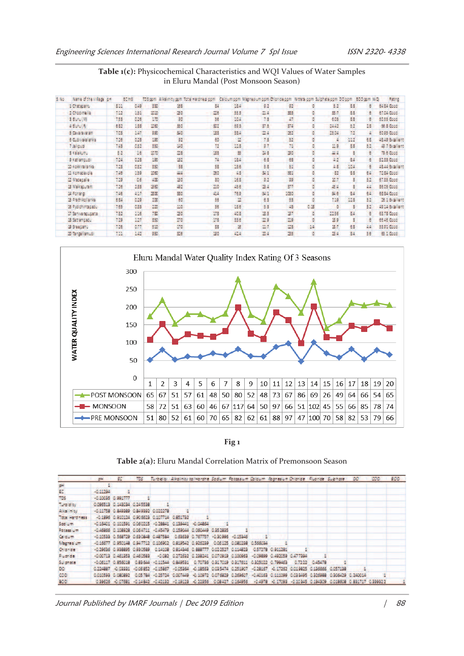| \$ 86. | Name of the Village, and | 航海    |      |                 |       | TOSigoni, Alikalinicy porti Total Haceness porti |                         | Calcumpon Mariasumpon Oloridagen With a com Subhasagen DOpom 800 gen WO. |      |    |       |      |     | 3,894                |
|--------|--------------------------|-------|------|-----------------|-------|--------------------------------------------------|-------------------------|--------------------------------------------------------------------------|------|----|-------|------|-----|----------------------|
|        | 3 Chat access            | 411   | 639  | 330             | 35    | 33                                               | 344                     | 42                                                                       | 43   |    | 33    | 88   | ÷   | 64.64 Good           |
|        | 2 Controlle              | 152   | 154  | 数据              | 28    | 型形                                               | 555                     | 数量                                                                       | 33   |    | 33.9  | 洗湯   |     | 12.54.0000           |
|        | 3. Euro (M)              | 133   | 826  | <b>TIP</b>      | 30    | 36                                               | 30.5                    | 73                                                                       | 47   |    | 408   | 83   |     | <b>68.55 Good</b>    |
|        | 4.500014                 | 682   | 134  | 267             | 36    | 33                                               | 59.3                    | 37.8                                                                     | 374  |    | 54.37 | 51   | 18  | 98.8 Good            |
|        | 5 Givenwaren             | 7.03  | 387  | 330             | 建设    | 133                                              | 354                     | 24                                                                       | 22   |    | 25.08 | 71   |     | 5595 6000            |
|        | <b>6 Guilman alta</b>    | 138   | 628  | 100             | 33    | εö                                               | $\overline{\mathbf{u}}$ | 7.8                                                                      | 57   |    |       | 317  | 68  | 18.49 Brailers       |
|        | 7 latered                | 131   | 032  | 330             | 26    | n                                                | 12.3                    | 3.7                                                                      | 71   |    | 11.9  | 33   | 52  | <b>SET Excellent</b> |
|        | 3 Kaluma                 | 82    | 18   | 070             | 28    | 183                                              | 滋                       | 訪古                                                                       | 30   |    | 出言    |      | Ξ   | 79.5 Boos            |
|        | <b>SKANDER</b>           | 124   | 623  | 200             | 22    | 74                                               | 184                     | 8.8                                                                      | 68   |    | 22    | 84   | 法   | 8133 Good            |
|        | to delicitation by       | 133   | 832  | 357             | 35    | 38                                               | 156                     | 5.8                                                                      | ší.  |    | 五家    | 10.4 |     | 23.44-30.90am        |
|        | al Kemasayeta            | 12.09 | 439  | 1080            | 越图    | 39                                               | 选定                      | 試言                                                                       | SS.  |    | 甜     | 古屋   | 64  | <b>1333 Grod</b>     |
|        | 12 Materialie            | 7.79  | bs.  | 400             | 26    | 30                                               | 结果                      | 11                                                                       | 39   |    | 3.7   |      | 32  | 67.53 Good:          |
|        | B Makaburan              | 136   | 333  | 25.             | $-11$ | 20                                               | 组建                      | 34                                                                       | 37   |    | 推進    |      |     | <b>SEES GOOD</b>     |
|        | a steare.                | 2.50  | 437  | 3500            | 350   | 34                                               | 789                     | 34.5                                                                     | 1030 |    | 製影    | 84   | 64. | <b>8834 Good</b>     |
|        | 13 Produkcijanska        | 111   | 0.29 | 100             | BB.   | 35                                               | $\overline{\mathbf{u}}$ | 書面                                                                       | 33   |    | 239   | 115  | 32  | 28.3 Braillent       |
|        | 3. Paschimages.          | 165   | 633  | 22              | 118   | 36                                               | 614                     | 53                                                                       | 48   | 乱国 | ō     |      | 32  | 12.15 Euchberg       |
|        | 17 Service Council       | 7.52  | 116  | 730             | 26    | 23                                               | 30.3                    | 33                                                                       | 37   |    | 2236  | 84   |     | 63.78 Good           |
|        | 13 September.            | 129   | 127  | 350             | 278   | 378                                              | 33.5                    | 立身                                                                       | 23   |    | 38    |      | ε   | 65.46 Good           |
|        | <b>SI STEED ATT</b>      | 138   | 877  | $\mathbb{Z}[2]$ | 28    | 33                                               | 區                       | 27                                                                       | 23   | 54 | 温度    | 68   | 34  | 5383 6000            |
|        | 20 Enter Sample          | 111   | 1.42 | 350             | 28    | 20                                               | 424                     | 2.5                                                                      | 25   |    | 24    | 34   | 36  | 63.3 Good            |

# **Table 1(c):** Physicochemical Characteristics and WQI Values of Water Samples in Eluru Mandal (Post Monsoon Season)



**Fig 1** 

| Table 2(a): Eluru Mandal Correlation Matrix of Premonsoon Season |  |  |
|------------------------------------------------------------------|--|--|
|------------------------------------------------------------------|--|--|

|                    |                                                                       |                            |                                             |                                                                |                                                                                 | pH - EC - TDS Turbidity Alkalinty tallHardne Sadium Patassum Caldum Asgnesium Chloride Fluaride Suphate - DD -                      |  |  | 000 | 800 |
|--------------------|-----------------------------------------------------------------------|----------------------------|---------------------------------------------|----------------------------------------------------------------|---------------------------------------------------------------------------------|-------------------------------------------------------------------------------------------------------------------------------------|--|--|-----|-----|
| æ                  |                                                                       |                            |                                             |                                                                |                                                                                 |                                                                                                                                     |  |  |     |     |
| EC.                | $-0.11294$                                                            |                            |                                             |                                                                |                                                                                 |                                                                                                                                     |  |  |     |     |
| 705                | -0.10035 0.991777                                                     |                            |                                             |                                                                |                                                                                 |                                                                                                                                     |  |  |     |     |
| Total Hay          |                                                                       | 0.096513 0.143034 0.245538 |                                             |                                                                |                                                                                 |                                                                                                                                     |  |  |     |     |
| <b>Albertandra</b> | 0.11758 0.849389 0.849999 0.022278                                    |                            |                                             |                                                                |                                                                                 |                                                                                                                                     |  |  |     |     |
| Total Hardinass    |                                                                       |                            | -0.1996 0.910124 0.906623 0.107714 0.851732 |                                                                |                                                                                 |                                                                                                                                     |  |  |     |     |
| Sadium.            | 46:16401 6:101391 6:060215 46:28841 6:139441 4:04864                  |                            |                                             |                                                                |                                                                                 |                                                                                                                                     |  |  |     |     |
| Personalism        |                                                                       |                            |                                             | -0.46866 0.108928 0.064711 -0.45479 0.159044 0.060449 0.352835 |                                                                                 |                                                                                                                                     |  |  |     |     |
| California -       | 0.10588 0.568729 0.680848 0.487584 0.69689 0.767757 40.80995 -0.15346 |                            |                                             |                                                                |                                                                                 |                                                                                                                                     |  |  |     |     |
| Magneti om         |                                                                       |                            |                                             |                                                                | -0.16677 0.950148 0.947712 0.106902 0.819542 0.926239 0.06125 0.080238 0.566034 |                                                                                                                                     |  |  |     |     |
| Council 2          |                                                                       |                            |                                             |                                                                |                                                                                 | -0.29636 0.938895 0.930589 0.14108 0.814346 0.888777 0.022527 0.114823 0.57278 0.911281                                             |  |  |     |     |
| <b>Thus like</b>   |                                                                       |                            |                                             |                                                                |                                                                                 | -0.00713 0.461353 0.460583 -0.082 0.272632 0.238241 0.070919 0.100963 -0.09899 0.432059 0.477394                                    |  |  |     |     |
| Sulahata :         |                                                                       |                            |                                             |                                                                |                                                                                 | -0.06117 0.856018 0.83644 -0.11544 0.849531 0.70736 0.317019 0.317611 0.325022 0.799453 0.7222 0.45478                              |  |  |     |     |
| DO.                |                                                                       |                            |                                             |                                                                |                                                                                 | 0.224887 -0.03331 -0.06852 -0.15867 -0.05364 -0.18563 0.035474 0.251907 -0.28167 -0.17262 0.019825 0.136666 0.057138                |  |  |     |     |
| COD                |                                                                       |                            |                                             |                                                                |                                                                                 | 0.010599 0.080892 0.05784 -0.25724 0.007449 -0.10972 0.076829 0.269607 -0.40168 0.111099 0.033495 0.326988 0.306429 0.240014        |  |  |     |     |
| BOD                |                                                                       |                            |                                             |                                                                |                                                                                 | 0.39626 -0.07681 -0.14842 -0.42132 -0.19133 -0.22356 0.08427 0.164956 -0.4978 -0.17093 -0.10345 0.194309 0.018608 0.031717 0.339322 |  |  |     |     |

Journal Published by IMRF Journals | Dec 2019 Edition | | 88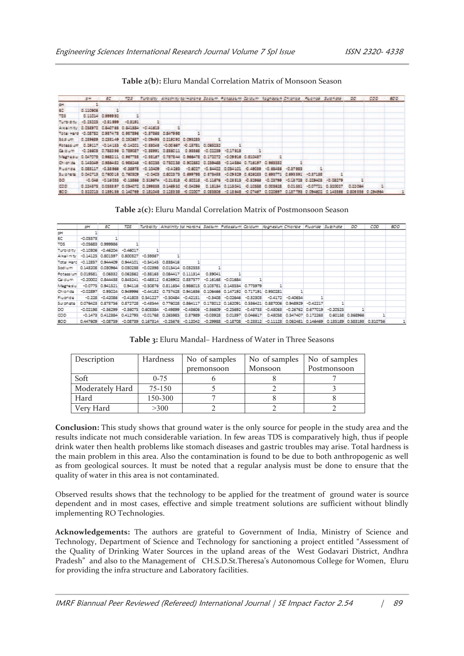|                                                                | <b>SH</b> | EC.                       | TDS. |                                                       | Turbishy Alkathity tarHarane Sodum Patessum Galdum Ragnesum Chiarlae , Fuaride Sulphate                                             |  |  |  |                            | <b>DO</b> | cop | 800 |
|----------------------------------------------------------------|-----------|---------------------------|------|-------------------------------------------------------|-------------------------------------------------------------------------------------------------------------------------------------|--|--|--|----------------------------|-----------|-----|-----|
| <b>CH</b>                                                      |           |                           |      |                                                       |                                                                                                                                     |  |  |  |                            |           |     |     |
| EC.                                                            | 0.110906  |                           |      |                                                       |                                                                                                                                     |  |  |  |                            |           |     |     |
| TES                                                            |           | 0.11014 0.999992          |      |                                                       |                                                                                                                                     |  |  |  |                            |           |     |     |
| THE RIGHT                                                      |           | 40.25225 40.81999 40.8191 |      |                                                       |                                                                                                                                     |  |  |  |                            |           |     |     |
| Awalkey G.058972 C.840768 C.841884 C.41613                     |           |                           |      |                                                       |                                                                                                                                     |  |  |  |                            |           |     |     |
| Total Hard - 0.08782 (0.937473) 0.937398 - (0.37383) 0.8479981 |           |                           |      |                                                       |                                                                                                                                     |  |  |  |                            |           |     |     |
| So di uni -                                                    |           |                           |      | 0.139629 0.233149 0.131627 -0.09493 0.119292 0.095253 |                                                                                                                                     |  |  |  |                            |           |     |     |
|                                                                |           |                           |      |                                                       | Fotossiam 0.29117 0.14133 0.14201 0.38048 0.00887 0.13781 0.065232                                                                  |  |  |  |                            |           |     |     |
|                                                                |           |                           |      |                                                       | (2) id until +0.26603 (0.788396 (0.789087) +0.38991 (0.886011 (0.98866 +0.02239 +0.17918                                            |  |  |  |                            |           |     |     |
|                                                                |           |                           |      |                                                       | Maghesia 0.047073 0.988211 0.987733 -0.98187 0.787844 0.988478 0.172072 -0.09918 0.810437                                           |  |  |  |                            |           |     |     |
| <b>KIND OF BUILT</b>                                           |           |                           |      |                                                       | (0.143049 0.986462 0.986346 -C.80258 0.750238 0.902582 0.159468 -0.14884 0.716197 0.963582                                          |  |  |  |                            |           |     |     |
| <b>Pindings</b>                                                |           |                           |      |                                                       | 0.089117 -0.38966 -0.38973 -0.10409 -0.4283 -0.6027 -0.34422 0.054401 -0.49039 -0.83438 -0.37933                                    |  |  |  |                            |           |     |     |
| <b>SILLE DATE:</b>                                             |           |                           |      |                                                       | 0.042713 0.760018 0.760509 -0.0405 0.602373 0.699788 0.873488 -0.09319 0.626283 0.698771 0.698391 -0.57188                          |  |  |  |                            |           |     |     |
| DO.                                                            |           |                           |      |                                                       | 40.046 40.16039 40.15386 0.319674 40.21.513 40.30215 40.11676 40.23315 40.33986 40.23799 40.13715 0.229405                          |  |  |  |                            |           |     |     |
| COD                                                            |           |                           |      |                                                       | 0.124575 0.035357 0.034072 0.299333 0.146932 0.04296 0.15154 0.115041 0.10388 0.003635                                              |  |  |  | 0.01.111 -0.07721 0.120027 |           |     |     |
| BDD.                                                           |           |                           |      |                                                       | 0.820015 0.189186 0.140789 0.181048 0.128988 0.00007 0.008808 0.18648 0.07487 0.030897 0.187798 0.094802 0.148888 0.806888 0.254984 |  |  |  |                            |           |     |     |

**Table 2(b):** Eluru Mandal Correlation Matrix of Monsoon Season

**Table 2(c):** Eluru Mandal Correlation Matrix of Postmonsoon Season

|            | nH.        | БΟ                               | TDS |                                             |                       | Turbidity   Alkalinity tai Hardne Sodium Potassium Caldum   Kaanesium Chloride   Fluoride   Suiphote |            |                            |                  |            |                            |                   |            | DO                | cao      | BOD |
|------------|------------|----------------------------------|-----|---------------------------------------------|-----------------------|------------------------------------------------------------------------------------------------------|------------|----------------------------|------------------|------------|----------------------------|-------------------|------------|-------------------|----------|-----|
| рH         |            |                                  |     |                                             |                       |                                                                                                      |            |                            |                  |            |                            |                   |            |                   |          |     |
| EC         | $-0.05573$ |                                  |     |                                             |                       |                                                                                                      |            |                            |                  |            |                            |                   |            |                   |          |     |
| TDS        |            | $-0.05683$ $0.999986$            |     |                                             |                       |                                                                                                      |            |                            |                  |            |                            |                   |            |                   |          |     |
| Turbidity  |            | $-0.10306 - 0.46204 - 0.46017$   |     |                                             |                       |                                                                                                      |            |                            |                  |            |                            |                   |            |                   |          |     |
| Akalinity  |            | $-0.14125$ 0.801597 0.800327     |     | $-0.59367$                                  |                       |                                                                                                      |            |                            |                  |            |                            |                   |            |                   |          |     |
| Total Hard |            | $-0.12857$ $0.944409$ $0.944101$ |     |                                             | $-0.54145$ $0.838416$ |                                                                                                      |            |                            |                  |            |                            |                   |            |                   |          |     |
| Sodium     |            | 0.143208 0.030964 0.030238       |     |                                             |                       | $-0.02398$ 0.015414 0.032553                                                                         |            |                            |                  |            |                            |                   |            |                   |          |     |
| Potassium  | 0.019581   |                                  |     |                                             |                       | 0.06332 0.062862 -0.38163 0.084417 0.111314                                                          | 0.39041    |                            |                  |            |                            |                   |            |                   |          |     |
| Caldum     |            |                                  |     |                                             |                       | -0.20002 0.844438 0.845241 -0.48312 0.626902 0.837577 -0.16168 -0.01684                              |            |                            |                  |            |                            |                   |            |                   |          |     |
| Magnesiu   |            |                                  |     |                                             |                       |                                                                                                      |            |                            |                  |            |                            |                   |            |                   |          |     |
| Chioride   | $-0.02897$ |                                  |     |                                             |                       | 0.95024 0.949996 -0.44182 0.757428 0.941636 0.106466 0.147192 0.717191 0.950281                      |            |                            |                  |            |                            |                   |            |                   |          |     |
| Fluoride   | $-0.228$   |                                  |     |                                             |                       | $-0.42086$ $-0.41803$ $0.541227$ $-0.50484$ $-0.42151$                                               |            | $-0.3408$ $-0.02646$       | $-0.32303$       | $-0.4172$  | $-0.40654$                 |                   |            |                   |          |     |
| Sul phate  |            |                                  |     |                                             |                       | 0.076423 0.873756 0.872728 -0.43544 0.776028 0.864117                                                |            | 0.178012 0.162091 0.536421 |                  |            | 0.887006 0.948929 -0.42217 |                   |            |                   |          |     |
| DO.        | $-0.02198$ | $-0.36299$                       |     | -0.36075 0.603384                           | $-0.49899$            | $-0.43606$                                                                                           | $-0.36609$ | $-0.25692$                 | $-0.43733$       | $-0.43063$ |                            | -0.26762 0.677019 | $-0.20525$ |                   |          |     |
| CDD        |            |                                  |     | -0.1473 0.412384 0.412795 -0.01768 0.265985 |                       | 0.37989                                                                                              | $-0.03928$ |                            | 0.01397 0.046617 |            | 0.43058 0.547407           | 0.172263          |            | 0.60158 0.368966  |          |     |
| <b>BOD</b> |            |                                  |     | 0.447609 -0.08759 -0.08739 0.167314         |                       | $-0.25676 - 0.12042 - 0.29988 - 0.18708 - 0.23312$                                                   |            |                            |                  |            | $-0.11123$ $0.062481$      | 0.146469          |            | 0.135189 0.583193 | 0.310756 |     |

**Table 3:** Eluru Mandal– Hardness of Water in Three Seasons

| Description     | Hardness | No of samples | No of samples | No of samples |
|-----------------|----------|---------------|---------------|---------------|
|                 |          | premonsoon    | Monsoon       | Postmonsoon   |
| Soft            | $0 - 75$ |               |               |               |
| Moderately Hard | 75-150   |               |               |               |
| Hard            | 150-300  |               |               |               |
| Verv Hard       | >300     |               |               |               |

**Conclusion:** This study shows that ground water is the only source for people in the study area and the results indicate not much considerable variation. In few areas TDS is comparatively high, thus if people drink water then health problems like stomach diseases and gastric troubles may arise. Total hardness is the main problem in this area. Also the contamination is found to be due to both anthropogenic as well as from geological sources. It must be noted that a regular analysis must be done to ensure that the quality of water in this area is not contaminated.

Observed results shows that the technology to be applied for the treatment of ground water is source dependent and in most cases, effective and simple treatment solutions are sufficient without blindly implementing RO Technologies.

**Acknowledgements:** The authors are grateful to Government of India, Ministry of Science and Technology, Department of Science and Technology for sanctioning a project entitled "Assessment of the Quality of Drinking Water Sources in the upland areas of the West Godavari District, Andhra Pradesh" and also to the Management of CH.S.D.St.Theresa's Autonomous College for Women, Eluru for providing the infra structure and Laboratory facilities.

IMRF Biannual Peer Reviewed (Refereed) International Journal | SE Impact Factor 2.54 | 89